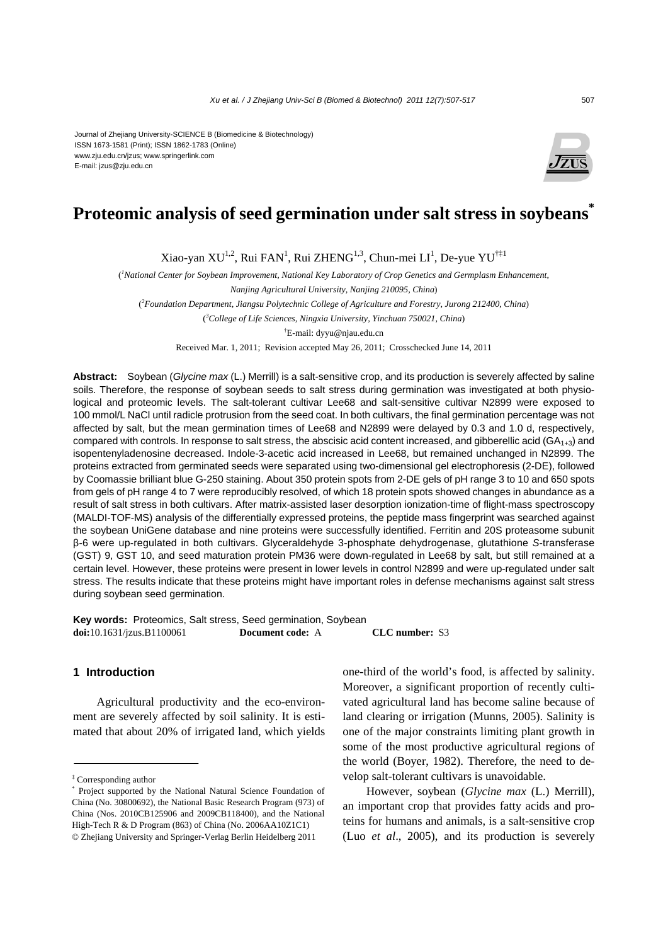#### Journal of Zhejiang University-SCIENCE B (Biomedicine & Biotechnology) ISSN 1673-1581 (Print); ISSN 1862-1783 (Online) www.zju.edu.cn/jzus; www.springerlink.com E-mail: jzus@zju.edu.cn



# **Proteomic analysis of seed germination under salt stress in soybeans\***

Xiao-yan XU<sup>1,2</sup>, Rui FAN<sup>1</sup>, Rui ZHENG<sup>1,3</sup>, Chun-mei LI<sup>1</sup>, De-yue YU<sup>†‡1</sup>

<sup>*l*</sup> National Center for Soybean Improvement, National Key Laboratory of Crop Genetics and Germplasm Enhancement,

( *2 Foundation Department, Jiangsu Polytechnic College of Agriculture and Forestry, Jurong 212400, China*)

( *3 College of Life Sciences, Ningxia University, Yinchuan 750021, China*)

† E-mail: dyyu@njau.edu.cn

Received Mar. 1, 2011; Revision accepted May 26, 2011; Crosschecked June 14, 2011

**Abstract:** Soybean (*Glycine max* (L.) Merrill) is a salt-sensitive crop, and its production is severely affected by saline soils. Therefore, the response of soybean seeds to salt stress during germination was investigated at both physiological and proteomic levels. The salt-tolerant cultivar Lee68 and salt-sensitive cultivar N2899 were exposed to 100 mmol/L NaCl until radicle protrusion from the seed coat. In both cultivars, the final germination percentage was not affected by salt, but the mean germination times of Lee68 and N2899 were delayed by 0.3 and 1.0 d, respectively, compared with controls. In response to salt stress, the abscisic acid content increased, and gibberellic acid  $(GA<sub>1+3</sub>)$  and isopentenyladenosine decreased. Indole-3-acetic acid increased in Lee68, but remained unchanged in N2899. The proteins extracted from germinated seeds were separated using two-dimensional gel electrophoresis (2-DE), followed by Coomassie brilliant blue G-250 staining. About 350 protein spots from 2-DE gels of pH range 3 to 10 and 650 spots from gels of pH range 4 to 7 were reproducibly resolved, of which 18 protein spots showed changes in abundance as a result of salt stress in both cultivars. After matrix-assisted laser desorption ionization-time of flight-mass spectroscopy (MALDI-TOF-MS) analysis of the differentially expressed proteins, the peptide mass fingerprint was searched against the soybean UniGene database and nine proteins were successfully identified. Ferritin and 20S proteasome subunit β-6 were up-regulated in both cultivars. Glyceraldehyde 3-phosphate dehydrogenase, glutathione *S*-transferase (GST) 9, GST 10, and seed maturation protein PM36 were down-regulated in Lee68 by salt, but still remained at a certain level. However, these proteins were present in lower levels in control N2899 and were up-regulated under salt stress. The results indicate that these proteins might have important roles in defense mechanisms against salt stress during soybean seed germination.

**Key words:** Proteomics, Salt stress, Seed germination, Soybean **doi:**10.1631/jzus.B1100061 **Document code:** A **CLC number:** S3

## **1 Introduction**

Agricultural productivity and the eco-environment are severely affected by soil salinity. It is estimated that about 20% of irrigated land, which yields one-third of the world's food, is affected by salinity. Moreover, a significant proportion of recently cultivated agricultural land has become saline because of land clearing or irrigation (Munns, 2005). Salinity is one of the major constraints limiting plant growth in some of the most productive agricultural regions of the world (Boyer, 1982). Therefore, the need to develop salt-tolerant cultivars is unavoidable.

However, soybean (*Glycine max* (L.) Merrill), an important crop that provides fatty acids and proteins for humans and animals, is a salt-sensitive crop (Luo *et al*., 2005), and its production is severely

*Nanjing Agricultural University, Nanjing 210095, China*)

<sup>‡</sup> Corresponding author

<sup>\*</sup> Project supported by the National Natural Science Foundation of China (No. 30800692), the National Basic Research Program (973) of China (Nos. 2010CB125906 and 2009CB118400), and the National High-Tech R & D Program (863) of China (No. 2006AA10Z1C1) © Zhejiang University and Springer-Verlag Berlin Heidelberg 2011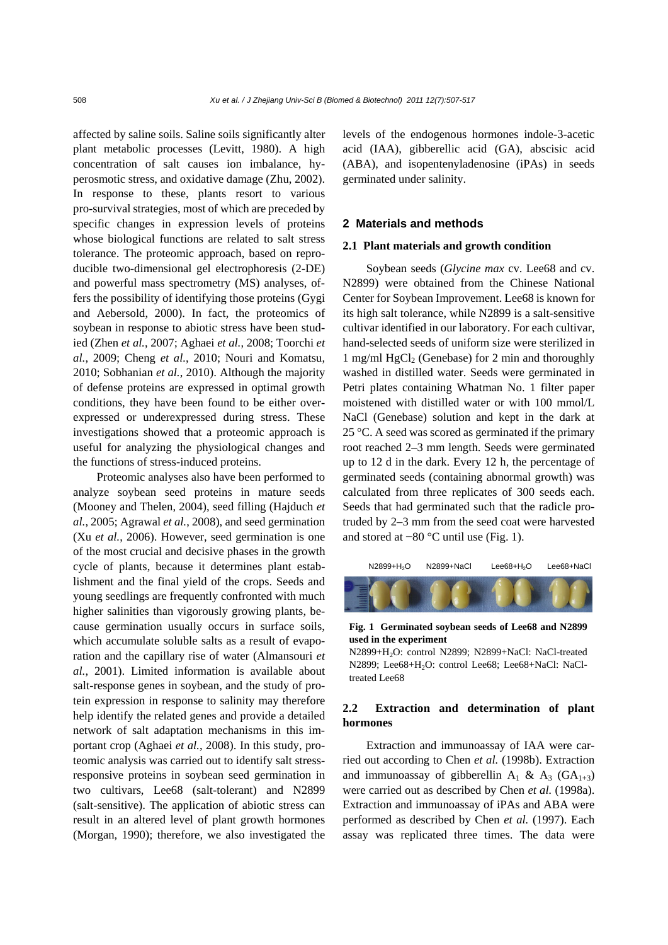affected by saline soils. Saline soils significantly alter plant metabolic processes (Levitt, 1980). A high concentration of salt causes ion imbalance, hyperosmotic stress, and oxidative damage (Zhu, 2002). In response to these, plants resort to various pro-survival strategies, most of which are preceded by specific changes in expression levels of proteins whose biological functions are related to salt stress tolerance. The proteomic approach, based on reproducible two-dimensional gel electrophoresis (2-DE) and powerful mass spectrometry (MS) analyses, offers the possibility of identifying those proteins (Gygi and Aebersold, 2000). In fact, the proteomics of soybean in response to abiotic stress have been studied (Zhen *et al.*, 2007; Aghaei *et al.*, 2008; Toorchi *et al.*, 2009; Cheng *et al.*, 2010; Nouri and Komatsu, 2010; Sobhanian *et al.*, 2010). Although the majority of defense proteins are expressed in optimal growth conditions, they have been found to be either overexpressed or underexpressed during stress. These investigations showed that a proteomic approach is useful for analyzing the physiological changes and the functions of stress-induced proteins.

Proteomic analyses also have been performed to analyze soybean seed proteins in mature seeds (Mooney and Thelen, 2004), seed filling (Hajduch *et al.*, 2005; Agrawal *et al.*, 2008), and seed germination (Xu *et al.*, 2006). However, seed germination is one of the most crucial and decisive phases in the growth cycle of plants, because it determines plant establishment and the final yield of the crops. Seeds and young seedlings are frequently confronted with much higher salinities than vigorously growing plants, because germination usually occurs in surface soils, which accumulate soluble salts as a result of evaporation and the capillary rise of water (Almansouri *et al.*, 2001). Limited information is available about salt-response genes in soybean, and the study of protein expression in response to salinity may therefore help identify the related genes and provide a detailed network of salt adaptation mechanisms in this important crop (Aghaei *et al.*, 2008). In this study, proteomic analysis was carried out to identify salt stressresponsive proteins in soybean seed germination in two cultivars, Lee68 (salt-tolerant) and N2899 (salt-sensitive). The application of abiotic stress can result in an altered level of plant growth hormones (Morgan, 1990); therefore, we also investigated the

levels of the endogenous hormones indole-3-acetic acid (IAA), gibberellic acid (GA), abscisic acid (ABA), and isopentenyladenosine (iPAs) in seeds germinated under salinity.

#### **2 Materials and methods**

#### **2.1 Plant materials and growth condition**

Soybean seeds (*Glycine max* cv. Lee68 and cv. N2899) were obtained from the Chinese National Center for Soybean Improvement. Lee68 is known for its high salt tolerance, while N2899 is a salt-sensitive cultivar identified in our laboratory. For each cultivar, hand-selected seeds of uniform size were sterilized in 1 mg/ml  $HgCl<sub>2</sub>$  (Genebase) for 2 min and thoroughly washed in distilled water. Seeds were germinated in Petri plates containing Whatman No. 1 filter paper moistened with distilled water or with 100 mmol/L NaCl (Genebase) solution and kept in the dark at 25 °C. A seed was scored as germinated if the primary root reached 2–3 mm length. Seeds were germinated up to 12 d in the dark. Every 12 h, the percentage of germinated seeds (containing abnormal growth) was calculated from three replicates of 300 seeds each. Seeds that had germinated such that the radicle protruded by 2–3 mm from the seed coat were harvested and stored at −80 °C until use (Fig. 1).



#### **Fig. 1 Germinated soybean seeds of Lee68 and N2899 used in the experiment**

N2899+H2O: control N2899; N2899+NaCl: NaCl-treated N2899; Lee68+H2O: control Lee68; Lee68+NaCl: NaCltreated Lee68

# **2.2 Extraction and determination of plant hormones**

Extraction and immunoassay of IAA were carried out according to Chen *et al.* (1998b). Extraction and immunoassay of gibberellin  $A_1 \& A_3$  (GA<sub>1+3</sub>) were carried out as described by Chen *et al.* (1998a). Extraction and immunoassay of iPAs and ABA were performed as described by Chen *et al.* (1997). Each assay was replicated three times. The data were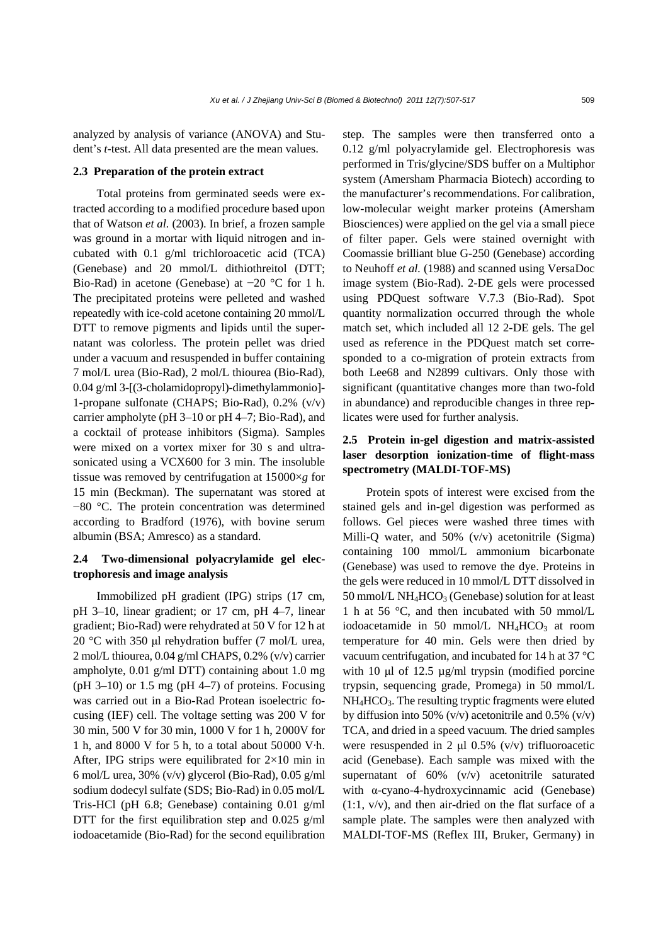analyzed by analysis of variance (ANOVA) and Student's *t*-test. All data presented are the mean values.

#### **2.3 Preparation of the protein extract**

Total proteins from germinated seeds were extracted according to a modified procedure based upon that of Watson *et al.* (2003). In brief, a frozen sample was ground in a mortar with liquid nitrogen and incubated with 0.1 g/ml trichloroacetic acid (TCA) (Genebase) and 20 mmol/L dithiothreitol (DTT; Bio-Rad) in acetone (Genebase) at −20 °C for 1 h. The precipitated proteins were pelleted and washed repeatedly with ice-cold acetone containing 20 mmol/L DTT to remove pigments and lipids until the supernatant was colorless. The protein pellet was dried under a vacuum and resuspended in buffer containing 7 mol/L urea (Bio-Rad), 2 mol/L thiourea (Bio-Rad), 0.04 g/ml 3-[(3-cholamidopropyl)-dimethylammonio]- 1-propane sulfonate (CHAPS; Bio-Rad), 0.2% (v/v) carrier ampholyte (pH 3–10 or pH 4–7; Bio-Rad), and a cocktail of protease inhibitors (Sigma). Samples were mixed on a vortex mixer for 30 s and ultrasonicated using a VCX600 for 3 min. The insoluble tissue was removed by centrifugation at 15000×*g* for 15 min (Beckman). The supernatant was stored at −80 °C. The protein concentration was determined according to Bradford (1976), with bovine serum albumin (BSA; Amresco) as a standard.

# **2.4 Two-dimensional polyacrylamide gel electrophoresis and image analysis**

Immobilized pH gradient (IPG) strips (17 cm, pH 3–10, linear gradient; or 17 cm, pH 4–7, linear gradient; Bio-Rad) were rehydrated at 50 V for 12 h at 20 °C with 350 μl rehydration buffer (7 mol/L urea, 2 mol/L thiourea, 0.04 g/ml CHAPS, 0.2% (v/v) carrier ampholyte, 0.01 g/ml DTT) containing about 1.0 mg  $(pH 3-10)$  or 1.5 mg  $(pH 4-7)$  of proteins. Focusing was carried out in a Bio-Rad Protean isoelectric focusing (IEF) cell. The voltage setting was 200 V for 30 min, 500 V for 30 min, 1000 V for 1 h, 2000V for 1 h, and 8000 V for 5 h, to a total about 50000 V·h. After, IPG strips were equilibrated for  $2\times10$  min in 6 mol/L urea, 30% (v/v) glycerol (Bio-Rad), 0.05 g/ml sodium dodecyl sulfate (SDS; Bio-Rad) in 0.05 mol/L Tris-HCl (pH 6.8; Genebase) containing 0.01 g/ml DTT for the first equilibration step and  $0.025$  g/ml iodoacetamide (Bio-Rad) for the second equilibration

step. The samples were then transferred onto a 0.12 g/ml polyacrylamide gel. Electrophoresis was performed in Tris/glycine/SDS buffer on a Multiphor system (Amersham Pharmacia Biotech) according to the manufacturer's recommendations. For calibration, low-molecular weight marker proteins (Amersham Biosciences) were applied on the gel via a small piece of filter paper. Gels were stained overnight with Coomassie brilliant blue G-250 (Genebase) according to Neuhoff *et al.* (1988) and scanned using VersaDoc image system (Bio-Rad). 2-DE gels were processed using PDQuest software V.7.3 (Bio-Rad). Spot quantity normalization occurred through the whole match set, which included all 12 2-DE gels. The gel used as reference in the PDQuest match set corresponded to a co-migration of protein extracts from both Lee68 and N2899 cultivars. Only those with significant (quantitative changes more than two-fold in abundance) and reproducible changes in three replicates were used for further analysis.

# **2.5 Protein in-gel digestion and matrix-assisted laser desorption ionization-time of flight-mass spectrometry (MALDI-TOF-MS)**

Protein spots of interest were excised from the stained gels and in-gel digestion was performed as follows. Gel pieces were washed three times with Milli-Q water, and 50% (v/v) acetonitrile (Sigma) containing 100 mmol/L ammonium bicarbonate (Genebase) was used to remove the dye. Proteins in the gels were reduced in 10 mmol/L DTT dissolved in 50 mmol/L NH<sub>4</sub>HCO<sub>3</sub> (Genebase) solution for at least 1 h at 56 °C, and then incubated with 50 mmol/L iodoacetamide in 50 mmol/L  $NH<sub>4</sub>HCO<sub>3</sub>$  at room temperature for 40 min. Gels were then dried by vacuum centrifugation, and incubated for 14 h at 37 °C with 10 μl of 12.5 µg/ml trypsin (modified porcine trypsin, sequencing grade, Promega) in 50 mmol/L NH4HCO3. The resulting tryptic fragments were eluted by diffusion into 50%  $(v/v)$  acetonitrile and 0.5%  $(v/v)$ TCA, and dried in a speed vacuum. The dried samples were resuspended in 2  $\mu$ l 0.5% (v/v) trifluoroacetic acid (Genebase). Each sample was mixed with the supernatant of 60% (v/v) acetonitrile saturated with α-cyano-4-hydroxycinnamic acid (Genebase)  $(1:1, v/v)$ , and then air-dried on the flat surface of a sample plate. The samples were then analyzed with MALDI-TOF-MS (Reflex III, Bruker, Germany) in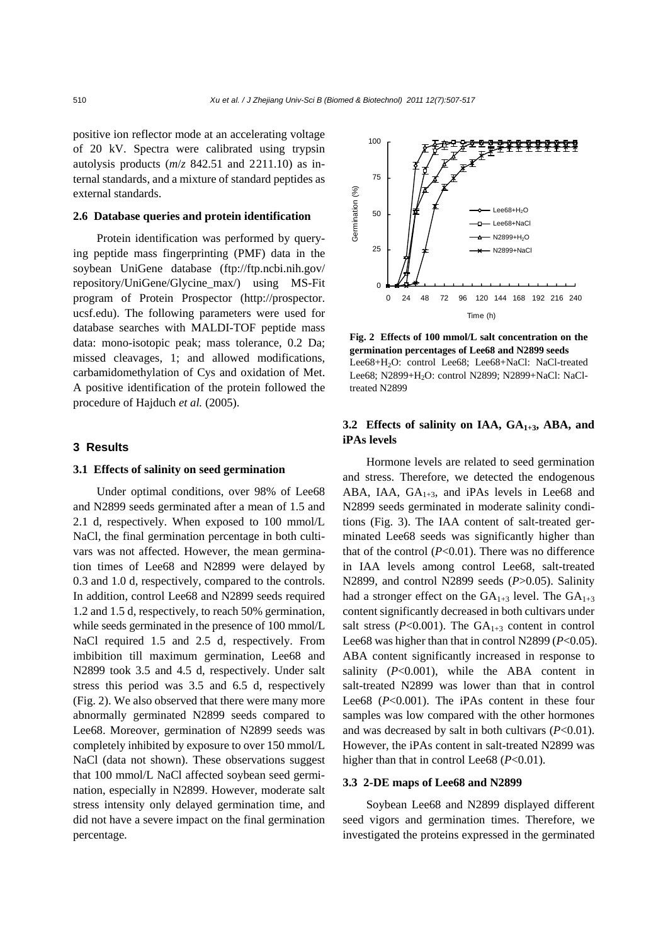positive ion reflector mode at an accelerating voltage of 20 kV. Spectra were calibrated using trypsin autolysis products (*m*/*z* 842.51 and 2211.10) as internal standards, and a mixture of standard peptides as external standards.

## **2.6 Database queries and protein identification**

Protein identification was performed by querying peptide mass fingerprinting (PMF) data in the soybean UniGene database (ftp://ftp.ncbi.nih.gov/ repository/UniGene/Glycine\_max/) using MS-Fit program of Protein Prospector (http://prospector. ucsf.edu). The following parameters were used for database searches with MALDI-TOF peptide mass data: mono-isotopic peak; mass tolerance, 0.2 Da; missed cleavages, 1; and allowed modifications, carbamidomethylation of Cys and oxidation of Met. A positive identification of the protein followed the procedure of Hajduch *et al.* (2005).

#### **3 Results**

#### **3.1 Effects of salinity on seed germination**

Under optimal conditions, over 98% of Lee68 and N2899 seeds germinated after a mean of 1.5 and 2.1 d, respectively. When exposed to 100 mmol/L NaCl, the final germination percentage in both cultivars was not affected. However, the mean germination times of Lee68 and N2899 were delayed by 0.3 and 1.0 d, respectively, compared to the controls. In addition, control Lee68 and N2899 seeds required 1.2 and 1.5 d, respectively, to reach 50% germination, while seeds germinated in the presence of 100 mmol/L NaCl required 1.5 and 2.5 d, respectively. From imbibition till maximum germination, Lee68 and N2899 took 3.5 and 4.5 d, respectively. Under salt stress this period was 3.5 and 6.5 d, respectively (Fig. 2). We also observed that there were many more abnormally germinated N2899 seeds compared to Lee68. Moreover, germination of N2899 seeds was completely inhibited by exposure to over 150 mmol/L NaCl (data not shown). These observations suggest that 100 mmol/L NaCl affected soybean seed germination, especially in N2899. However, moderate salt stress intensity only delayed germination time, and did not have a severe impact on the final germination percentage.



**Fig. 2 Effects of 100 mmol/L salt concentration on the germination percentages of Lee68 and N2899 seeds**  Lee68+H<sub>2</sub>O: control Lee68; Lee68+NaCl: NaCl-treated Lee68; N2899+H2O: control N2899; N2899+NaCl: NaCltreated N2899

# 3.2 Effects of salinity on IAA, GA<sub>1+3</sub>, ABA, and **iPAs levels**

Hormone levels are related to seed germination and stress. Therefore, we detected the endogenous ABA, IAA,  $GA_{1+3}$ , and iPAs levels in Lee68 and N2899 seeds germinated in moderate salinity conditions (Fig. 3). The IAA content of salt-treated germinated Lee68 seeds was significantly higher than that of the control (*P*<0.01). There was no difference in IAA levels among control Lee68, salt-treated N2899, and control N2899 seeds (*P*>0.05). Salinity had a stronger effect on the  $GA_{1+3}$  level. The  $GA_{1+3}$ content significantly decreased in both cultivars under salt stress ( $P<0.001$ ). The  $GA_{1+3}$  content in control Lee68 was higher than that in control N2899 (*P*<0.05). ABA content significantly increased in response to salinity  $(P<0.001)$ , while the ABA content in salt-treated N2899 was lower than that in control Lee68 (*P*<0.001). The iPAs content in these four samples was low compared with the other hormones and was decreased by salt in both cultivars (*P*<0.01). However, the iPAs content in salt-treated N2899 was higher than that in control Lee68 ( $P < 0.01$ ).

### **3.3 2-DE maps of Lee68 and N2899**

Soybean Lee68 and N2899 displayed different seed vigors and germination times. Therefore, we investigated the proteins expressed in the germinated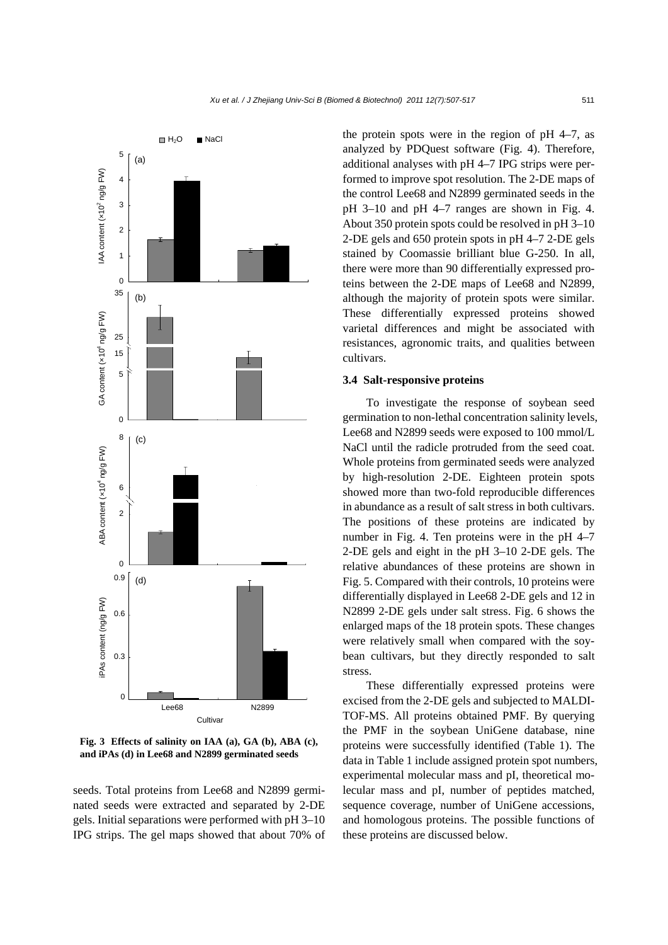

**Fig. 3 Effects of salinity on IAA (a), GA (b), ABA (c), and iPAs (d) in Lee68 and N2899 germinated seeds** 

seeds. Total proteins from Lee68 and N2899 germinated seeds were extracted and separated by 2-DE gels. Initial separations were performed with pH 3–10 IPG strips. The gel maps showed that about 70% of the protein spots were in the region of pH 4–7, as analyzed by PDQuest software (Fig. 4). Therefore, additional analyses with pH 4–7 IPG strips were performed to improve spot resolution. The 2-DE maps of the control Lee68 and N2899 germinated seeds in the pH 3–10 and pH 4–7 ranges are shown in Fig. 4. About 350 protein spots could be resolved in pH 3–10 2-DE gels and 650 protein spots in pH 4–7 2-DE gels stained by Coomassie brilliant blue G-250. In all, there were more than 90 differentially expressed proteins between the 2-DE maps of Lee68 and N2899, although the majority of protein spots were similar. These differentially expressed proteins showed varietal differences and might be associated with resistances, agronomic traits, and qualities between cultivars.

#### **3.4 Salt-responsive proteins**

To investigate the response of soybean seed germination to non-lethal concentration salinity levels, Lee68 and N2899 seeds were exposed to 100 mmol/L NaCl until the radicle protruded from the seed coat. Whole proteins from germinated seeds were analyzed by high-resolution 2-DE. Eighteen protein spots showed more than two-fold reproducible differences in abundance as a result of salt stress in both cultivars. The positions of these proteins are indicated by number in Fig. 4. Ten proteins were in the pH 4–7 2-DE gels and eight in the pH 3–10 2-DE gels. The relative abundances of these proteins are shown in Fig. 5. Compared with their controls, 10 proteins were differentially displayed in Lee68 2-DE gels and 12 in N2899 2-DE gels under salt stress. Fig. 6 shows the enlarged maps of the 18 protein spots. These changes were relatively small when compared with the soybean cultivars, but they directly responded to salt stress.

These differentially expressed proteins were excised from the 2-DE gels and subjected to MALDI-TOF-MS. All proteins obtained PMF. By querying the PMF in the soybean UniGene database, nine proteins were successfully identified (Table 1). The data in Table 1 include assigned protein spot numbers, experimental molecular mass and pI, theoretical molecular mass and pI, number of peptides matched, sequence coverage, number of UniGene accessions, and homologous proteins. The possible functions of these proteins are discussed below.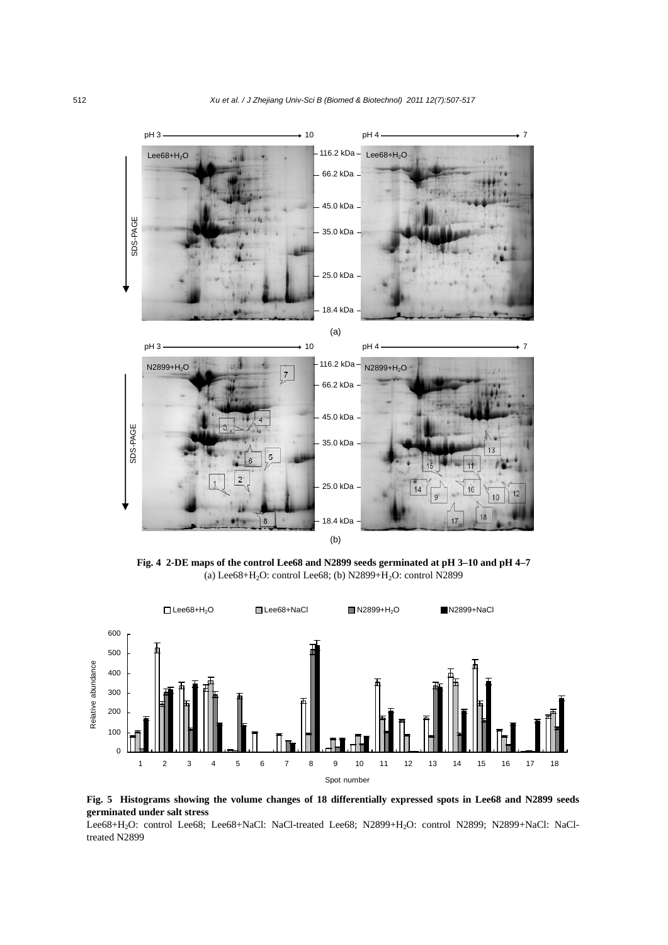

**Fig. 4 2-DE maps of the control Lee68 and N2899 seeds germinated at pH 3–10 and pH 4–7**  (a) Lee $68+H_2O$ : control Lee $68$ ; (b) N2899+H<sub>2</sub>O: control N2899





Lee68+H2O: control Lee68; Lee68+NaCl: NaCl-treated Lee68; N2899+H2O: control N2899; N2899+NaCl: NaCltreated N2899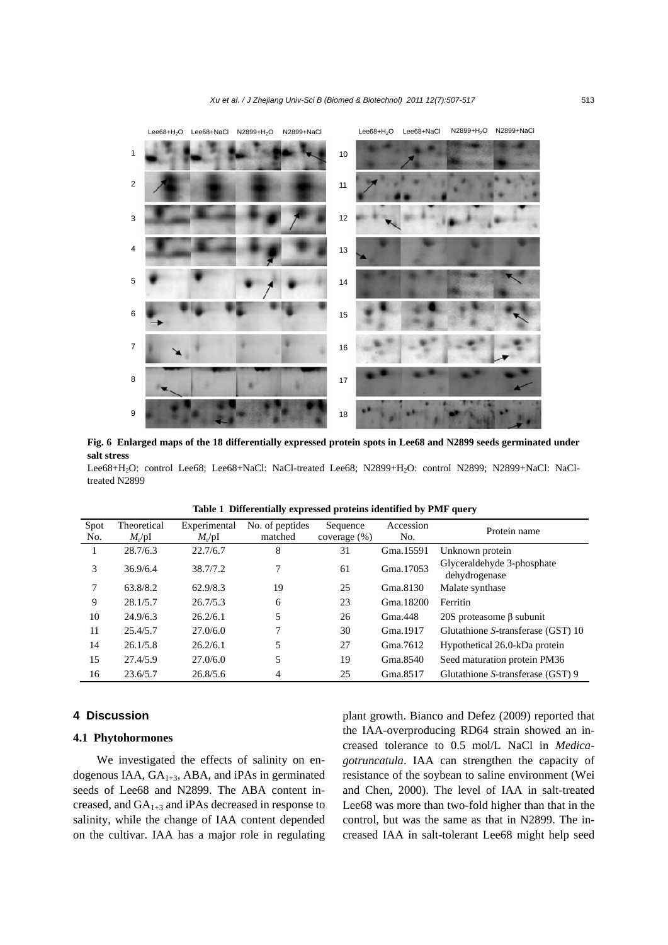

**Fig. 6 Enlarged maps of the 18 differentially expressed protein spots in Lee68 and N2899 seeds germinated under salt stress** 

Lee68+H2O: control Lee68; Lee68+NaCl: NaCl-treated Lee68; N2899+H2O: control N2899; N2899+NaCl: NaCltreated N2899

| Spot<br>No. | Theoretical<br>$M_{\rm r}$ /pI | Experimental<br>$M_{\rm r}$ /pI | No. of peptides<br>matched | Sequence<br>coverage $(\%)$ | Accession<br>No. | Protein name                                |
|-------------|--------------------------------|---------------------------------|----------------------------|-----------------------------|------------------|---------------------------------------------|
|             | 28.7/6.3                       | 22.7/6.7                        | 8                          | 31                          | Gma.15591        | Unknown protein                             |
| 3           | 36.9/6.4                       | 38.7/7.2                        | 7                          | 61                          | Gma. 17053       | Glyceraldehyde 3-phosphate<br>dehydrogenase |
| 7           | 63.8/8.2                       | 62.9/8.3                        | 19                         | 25                          | Gma.8130         | Malate synthase                             |
| 9           | 28.1/5.7                       | 26.7/5.3                        | 6                          | 23                          | Gma.18200        | Ferritin                                    |
| 10          | 24.9/6.3                       | 26.2/6.1                        | 5                          | 26                          | Gma.448          | 20S proteasome β subunit                    |
| 11          | 25.4/5.7                       | 27.0/6.0                        |                            | 30                          | Gma.1917         | Glutathione S-transferase (GST) 10          |
| 14          | 26.1/5.8                       | 26.2/6.1                        | 5                          | 27                          | Gma.7612         | Hypothetical 26.0-kDa protein               |
| 15          | 27.4/5.9                       | 27.0/6.0                        | 5                          | 19                          | Gma.8540         | Seed maturation protein PM36                |
| 16          | 23.6/5.7                       | 26.8/5.6                        | 4                          | 25                          | Gma.8517         | Glutathione S-transferase (GST) 9           |

**Table 1 Differentially expressed proteins identified by PMF query** 

## **4 Discussion**

## **4.1 Phytohormones**

We investigated the effects of salinity on endogenous IAA,  $GA<sub>1+3</sub>$ , ABA, and iPAs in germinated seeds of Lee68 and N2899. The ABA content increased, and  $GA_{1+3}$  and iPAs decreased in response to salinity, while the change of IAA content depended on the cultivar. IAA has a major role in regulating plant growth. Bianco and Defez (2009) reported that the IAA-overproducing RD64 strain showed an increased tolerance to 0.5 mol/L NaCl in *Medicagotruncatula*. IAA can strengthen the capacity of resistance of the soybean to saline environment (Wei and Chen, 2000). The level of IAA in salt-treated Lee68 was more than two-fold higher than that in the control, but was the same as that in N2899. The increased IAA in salt-tolerant Lee68 might help seed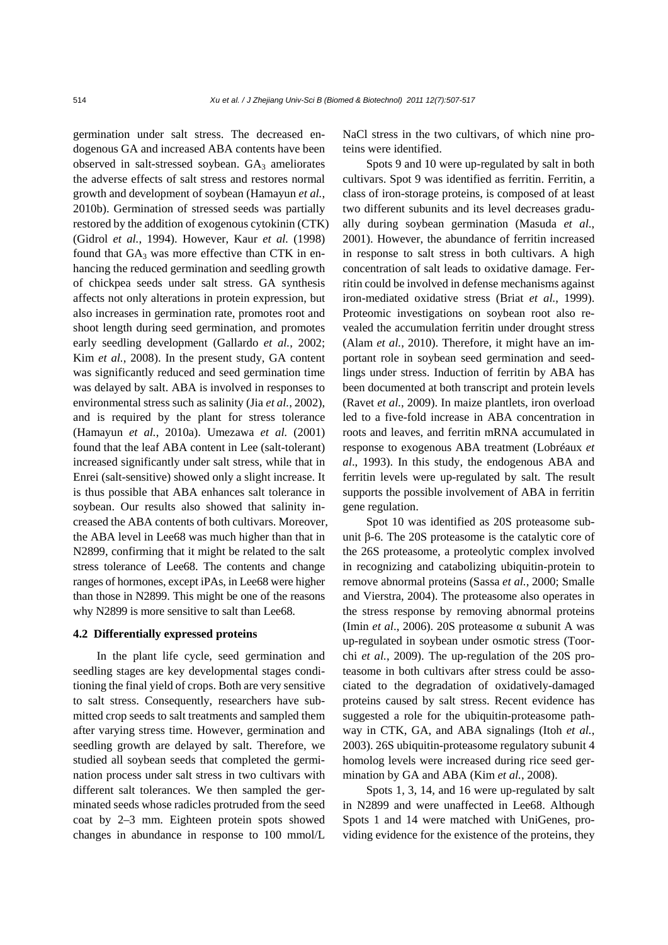germination under salt stress. The decreased endogenous GA and increased ABA contents have been observed in salt-stressed soybean. GA<sub>3</sub> ameliorates the adverse effects of salt stress and restores normal growth and development of soybean (Hamayun *et al.*, 2010b). Germination of stressed seeds was partially restored by the addition of exogenous cytokinin (CTK) (Gidrol *et al.*, 1994). However, Kaur *et al.* (1998) found that  $GA_3$  was more effective than CTK in enhancing the reduced germination and seedling growth of chickpea seeds under salt stress. GA synthesis affects not only alterations in protein expression, but also increases in germination rate, promotes root and shoot length during seed germination, and promotes early seedling development (Gallardo *et al.*, 2002; Kim *et al.*, 2008). In the present study, GA content was significantly reduced and seed germination time was delayed by salt. ABA is involved in responses to environmental stress such as salinity (Jia *et al.*, 2002), and is required by the plant for stress tolerance (Hamayun *et al.*, 2010a). Umezawa *et al.* (2001) found that the leaf ABA content in Lee (salt-tolerant) increased significantly under salt stress, while that in Enrei (salt-sensitive) showed only a slight increase. It is thus possible that ABA enhances salt tolerance in soybean. Our results also showed that salinity increased the ABA contents of both cultivars. Moreover, the ABA level in Lee68 was much higher than that in N2899, confirming that it might be related to the salt stress tolerance of Lee68. The contents and change ranges of hormones, except iPAs, in Lee68 were higher than those in N2899. This might be one of the reasons why N2899 is more sensitive to salt than Lee68.

## **4.2 Differentially expressed proteins**

In the plant life cycle, seed germination and seedling stages are key developmental stages conditioning the final yield of crops. Both are very sensitive to salt stress. Consequently, researchers have submitted crop seeds to salt treatments and sampled them after varying stress time. However, germination and seedling growth are delayed by salt. Therefore, we studied all soybean seeds that completed the germination process under salt stress in two cultivars with different salt tolerances. We then sampled the germinated seeds whose radicles protruded from the seed coat by 2–3 mm. Eighteen protein spots showed changes in abundance in response to 100 mmol/L NaCl stress in the two cultivars, of which nine proteins were identified.

Spots 9 and 10 were up-regulated by salt in both cultivars. Spot 9 was identified as ferritin. Ferritin, a class of iron-storage proteins, is composed of at least two different subunits and its level decreases gradually during soybean germination (Masuda *et al*., 2001). However, the abundance of ferritin increased in response to salt stress in both cultivars. A high concentration of salt leads to oxidative damage. Ferritin could be involved in defense mechanisms against iron-mediated oxidative stress (Briat *et al.*, 1999). Proteomic investigations on soybean root also revealed the accumulation ferritin under drought stress (Alam *et al.*, 2010). Therefore, it might have an important role in soybean seed germination and seedlings under stress. Induction of ferritin by ABA has been documented at both transcript and protein levels (Ravet *et al.*, 2009). In maize plantlets, iron overload led to a five-fold increase in ABA concentration in roots and leaves, and ferritin mRNA accumulated in response to exogenous ABA treatment (Lobréaux *et al*., 1993). In this study, the endogenous ABA and ferritin levels were up-regulated by salt. The result supports the possible involvement of ABA in ferritin gene regulation.

Spot 10 was identified as 20S proteasome subunit β-6. The 20S proteasome is the catalytic core of the 26S proteasome, a proteolytic complex involved in recognizing and catabolizing ubiquitin-protein to remove abnormal proteins (Sassa *et al.*, 2000; Smalle and Vierstra, 2004). The proteasome also operates in the stress response by removing abnormal proteins (Imin *et al*., 2006). 20S proteasome α subunit A was up-regulated in soybean under osmotic stress (Toorchi *et al.*, 2009). The up-regulation of the 20S proteasome in both cultivars after stress could be associated to the degradation of oxidatively-damaged proteins caused by salt stress. Recent evidence has suggested a role for the ubiquitin-proteasome pathway in CTK, GA, and ABA signalings (Itoh *et al.*, 2003). 26S ubiquitin-proteasome regulatory subunit 4 homolog levels were increased during rice seed germination by GA and ABA (Kim *et al.*, 2008).

Spots 1, 3, 14, and 16 were up-regulated by salt in N2899 and were unaffected in Lee68. Although Spots 1 and 14 were matched with UniGenes, providing evidence for the existence of the proteins, they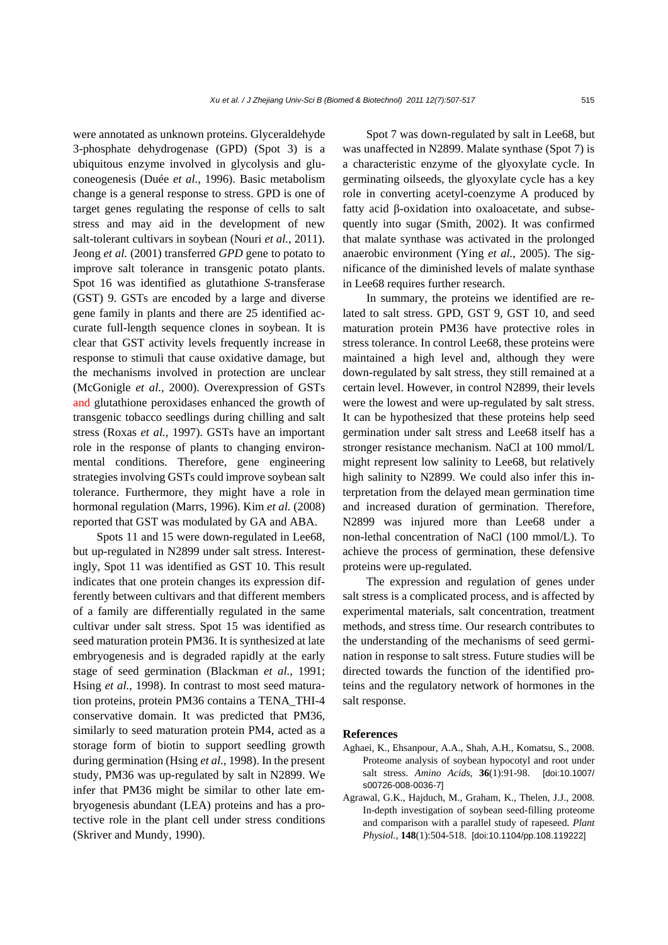were annotated as unknown proteins. Glyceraldehyde 3-phosphate dehydrogenase (GPD) (Spot 3) is a ubiquitous enzyme involved in glycolysis and gluconeogenesis (Duée *et al.*, 1996). Basic metabolism change is a general response to stress. GPD is one of target genes regulating the response of cells to salt stress and may aid in the development of new salt-tolerant cultivars in soybean (Nouri *et al.*, 2011). Jeong *et al.* (2001) transferred *GPD* gene to potato to improve salt tolerance in transgenic potato plants. Spot 16 was identified as glutathione *S*-transferase (GST) 9. GSTs are encoded by a large and diverse gene family in plants and there are 25 identified accurate full-length sequence clones in soybean. It is clear that GST activity levels frequently increase in response to stimuli that cause oxidative damage, but the mechanisms involved in protection are unclear (McGonigle *et al.*, 2000). Overexpression of GSTs and glutathione peroxidases enhanced the growth of transgenic tobacco seedlings during chilling and salt stress (Roxas *et al.*, 1997). GSTs have an important role in the response of plants to changing environmental conditions. Therefore, gene engineering strategies involving GSTs could improve soybean salt tolerance. Furthermore, they might have a role in hormonal regulation (Marrs, 1996). Kim *et al.* (2008) reported that GST was modulated by GA and ABA.

Spots 11 and 15 were down-regulated in Lee68, but up-regulated in N2899 under salt stress. Interestingly, Spot 11 was identified as GST 10. This result indicates that one protein changes its expression differently between cultivars and that different members of a family are differentially regulated in the same cultivar under salt stress. Spot 15 was identified as seed maturation protein PM36. It is synthesized at late embryogenesis and is degraded rapidly at the early stage of seed germination (Blackman *et al.*, 1991; Hsing *et al.*, 1998). In contrast to most seed maturation proteins, protein PM36 contains a TENA\_THI-4 conservative domain. It was predicted that PM36, similarly to seed maturation protein PM4, acted as a storage form of biotin to support seedling growth during germination (Hsing *et al.*, 1998). In the present study, PM36 was up-regulated by salt in N2899. We infer that PM36 might be similar to other late embryogenesis abundant (LEA) proteins and has a protective role in the plant cell under stress conditions (Skriver and Mundy, 1990).

Spot 7 was down-regulated by salt in Lee68, but was unaffected in N2899. Malate synthase (Spot 7) is a characteristic enzyme of the glyoxylate cycle. In germinating oilseeds, the glyoxylate cycle has a key role in converting acetyl-coenzyme A produced by fatty acid β-oxidation into oxaloacetate, and subsequently into sugar (Smith, 2002). It was confirmed that malate synthase was activated in the prolonged anaerobic environment (Ying *et al.*, 2005). The significance of the diminished levels of malate synthase in Lee68 requires further research.

In summary, the proteins we identified are related to salt stress. GPD, GST 9, GST 10, and seed maturation protein PM36 have protective roles in stress tolerance. In control Lee68, these proteins were maintained a high level and, although they were down-regulated by salt stress, they still remained at a certain level. However, in control N2899, their levels were the lowest and were up-regulated by salt stress. It can be hypothesized that these proteins help seed germination under salt stress and Lee68 itself has a stronger resistance mechanism. NaCl at 100 mmol/L might represent low salinity to Lee68, but relatively high salinity to N2899. We could also infer this interpretation from the delayed mean germination time and increased duration of germination. Therefore, N2899 was injured more than Lee68 under a non-lethal concentration of NaCl (100 mmol/L). To achieve the process of germination, these defensive proteins were up-regulated.

The expression and regulation of genes under salt stress is a complicated process, and is affected by experimental materials, salt concentration, treatment methods, and stress time. Our research contributes to the understanding of the mechanisms of seed germination in response to salt stress. Future studies will be directed towards the function of the identified proteins and the regulatory network of hormones in the salt response.

#### **References**

- Aghaei, K., Ehsanpour, A.A., Shah, A.H., Komatsu, S., 2008. Proteome analysis of soybean hypocotyl and root under salt stress. *Amino Acids*, **36**(1):91-98. [doi:10.1007/ s00726-008-0036-7]
- Agrawal, G.K., Hajduch, M., Graham, K., Thelen, J.J., 2008. In-depth investigation of soybean seed-filling proteome and comparison with a parallel study of rapeseed. *Plant Physiol.*, **148**(1):504-518. [doi:10.1104/pp.108.119222]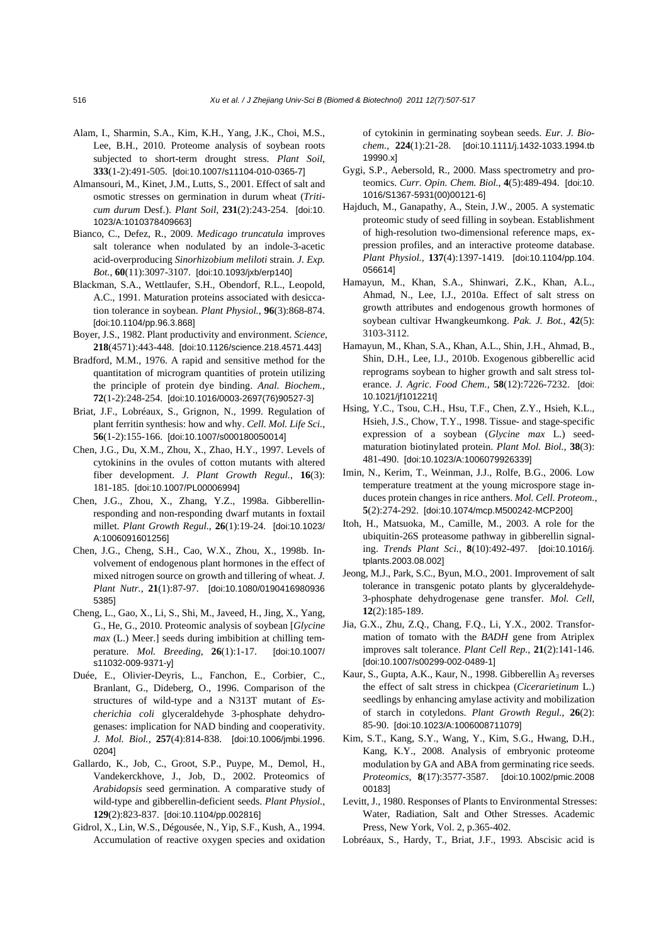- Alam, I., Sharmin, S.A., Kim, K.H., Yang, J.K., Choi, M.S., Lee, B.H., 2010. Proteome analysis of soybean roots subjected to short-term drought stress. *Plant Soil*, **333**(1-2):491-505. [doi:10.1007/s11104-010-0365-7]
- Almansouri, M., Kinet, J.M., Lutts, S., 2001. Effect of salt and osmotic stresses on germination in durum wheat (*Triticum durum* Desf.). *Plant Soil*, **231**(2):243-254. [doi:10. 1023/A:1010378409663]
- Bianco, C., Defez, R., 2009. *Medicago truncatula* improves salt tolerance when nodulated by an indole-3-acetic acid-overproducing *Sinorhizobium meliloti* strain. *J. Exp. Bot.*, **60**(11):3097-3107. [doi:10.1093/jxb/erp140]
- Blackman, S.A., Wettlaufer, S.H., Obendorf, R.L., Leopold, A.C., 1991. Maturation proteins associated with desiccation tolerance in soybean. *Plant Physiol.*, **96**(3):868-874. [doi:10.1104/pp.96.3.868]
- Boyer, J.S., 1982. Plant productivity and environment. *Science*, **218**(4571):443-448. [doi:10.1126/science.218.4571.443]
- Bradford, M.M., 1976. A rapid and sensitive method for the quantitation of microgram quantities of protein utilizing the principle of protein dye binding. *Anal. Biochem.*, **72**(1-2):248-254. [doi:10.1016/0003-2697(76)90527-3]
- Briat, J.F., Lobréaux, S., Grignon, N., 1999. Regulation of plant ferritin synthesis: how and why. *Cell. Mol. Life Sci.*, **56**(1-2):155-166. [doi:10.1007/s000180050014]
- Chen, J.G., Du, X.M., Zhou, X., Zhao, H.Y., 1997. Levels of cytokinins in the ovules of cotton mutants with altered fiber development. *J. Plant Growth Regul.*, **16**(3): 181-185. [doi:10.1007/PL00006994]
- Chen, J.G., Zhou, X., Zhang, Y.Z., 1998a. Gibberellinresponding and non-responding dwarf mutants in foxtail millet. *Plant Growth Regul.*, **26**(1):19-24. [doi:10.1023/ A:1006091601256]
- Chen, J.G., Cheng, S.H., Cao, W.X., Zhou, X., 1998b. Involvement of endogenous plant hormones in the effect of mixed nitrogen source on growth and tillering of wheat. *J. Plant Nutr.*, **21**(1):87-97. [doi:10.1080/0190416980936 5385]
- Cheng, L., Gao, X., Li, S., Shi, M., Javeed, H., Jing, X., Yang, G., He, G., 2010. Proteomic analysis of soybean [*Glycine max* (L.) Meer.] seeds during imbibition at chilling temperature. *Mol. Breeding*, **26**(1):1-17. [doi:10.1007/ s11032-009-9371-y]
- Duée, E., Olivier-Deyris, L., Fanchon, E., Corbier, C., Branlant, G., Dideberg, O., 1996. Comparison of the structures of wild-type and a N313T mutant of *Escherichia coli* glyceraldehyde 3-phosphate dehydrogenases: implication for NAD binding and cooperativity. *J. Mol. Biol.*, **257**(4):814-838. [doi:10.1006/jmbi.1996. 0204]
- Gallardo, K., Job, C., Groot, S.P., Puype, M., Demol, H., Vandekerckhove, J., Job, D., 2002. Proteomics of *Arabidopsis* seed germination. A comparative study of wild-type and gibberellin-deficient seeds. *Plant Physiol.*, **129**(2):823-837. [doi:10.1104/pp.002816]
- Gidrol, X., Lin, W.S., Dégousée, N., Yip, S.F., Kush, A., 1994. Accumulation of reactive oxygen species and oxidation

of cytokinin in germinating soybean seeds. *Eur. J. Biochem.*, **224**(1):21-28. [doi:10.1111/j.1432-1033.1994.tb 19990.x]

- Gygi, S.P., Aebersold, R., 2000. Mass spectrometry and proteomics. *Curr. Opin. Chem. Biol.*, **4**(5):489-494. [doi:10. 1016/S1367-5931(00)00121-6]
- Hajduch, M., Ganapathy, A., Stein, J.W., 2005. A systematic proteomic study of seed filling in soybean. Establishment of high-resolution two-dimensional reference maps, expression profiles, and an interactive proteome database. *Plant Physiol.*, **137**(4):1397-1419. [doi:10.1104/pp.104. 056614]
- Hamayun, M., Khan, S.A., Shinwari, Z.K., Khan, A.L., Ahmad, N., Lee, I.J., 2010a. Effect of salt stress on growth attributes and endogenous growth hormones of soybean cultivar Hwangkeumkong. *Pak. J. Bot.*, **42**(5): 3103-3112.
- Hamayun, M., Khan, S.A., Khan, A.L., Shin, J.H., Ahmad, B., Shin, D.H., Lee, I.J., 2010b. Exogenous gibberellic acid reprograms soybean to higher growth and salt stress tolerance. *J. Agric. Food Chem.*, **58**(12):7226-7232. [doi: 10.1021/jf101221t]
- Hsing, Y.C., Tsou, C.H., Hsu, T.F., Chen, Z.Y., Hsieh, K.L., Hsieh, J.S., Chow, T.Y., 1998. Tissue- and stage-specific expression of a soybean (*Glycine max* L.) seedmaturation biotinylated protein. *Plant Mol. Biol.*, **38**(3): 481-490. [doi:10.1023/A:1006079926339]
- Imin, N., Kerim, T., Weinman, J.J., Rolfe, B.G., 2006. Low temperature treatment at the young microspore stage induces protein changes in rice anthers. *Mol. Cell. Proteom.*, **5**(2):274-292. [doi:10.1074/mcp.M500242-MCP200]
- Itoh, H., Matsuoka, M., Camille, M., 2003. A role for the ubiquitin-26S proteasome pathway in gibberellin signaling. *Trends Plant Sci.*, **8**(10):492-497. [doi:10.1016/j. tplants.2003.08.002]
- Jeong, M.J., Park, S.C., Byun, M.O., 2001. Improvement of salt tolerance in transgenic potato plants by glyceraldehyde-3-phosphate dehydrogenase gene transfer. *Mol. Cell*, **12**(2):185-189.
- Jia, G.X., Zhu, Z.Q., Chang, F.Q., Li, Y.X., 2002. Transformation of tomato with the *BADH* gene from Atriplex improves salt tolerance. *Plant Cell Rep.*, **21**(2):141-146. [doi:10.1007/s00299-002-0489-1]
- Kaur, S., Gupta, A.K., Kaur, N., 1998. Gibberellin  $A_3$  reverses the effect of salt stress in chickpea (*Cicerarietinum* L.) seedlings by enhancing amylase activity and mobilization of starch in cotyledons. *Plant Growth Regul.*, **26**(2): 85-90. [doi:10.1023/A:1006008711079]
- Kim, S.T., Kang, S.Y., Wang, Y., Kim, S.G., Hwang, D.H., Kang, K.Y., 2008. Analysis of embryonic proteome modulation by GA and ABA from germinating rice seeds. *Proteomics*, **8**(17):3577-3587. [doi:10.1002/pmic.2008 00183]
- Levitt, J., 1980. Responses of Plants to Environmental Stresses: Water, Radiation, Salt and Other Stresses. Academic Press, New York, Vol. 2, p.365-402.
- Lobréaux, S., Hardy, T., Briat, J.F., 1993. Abscisic acid is